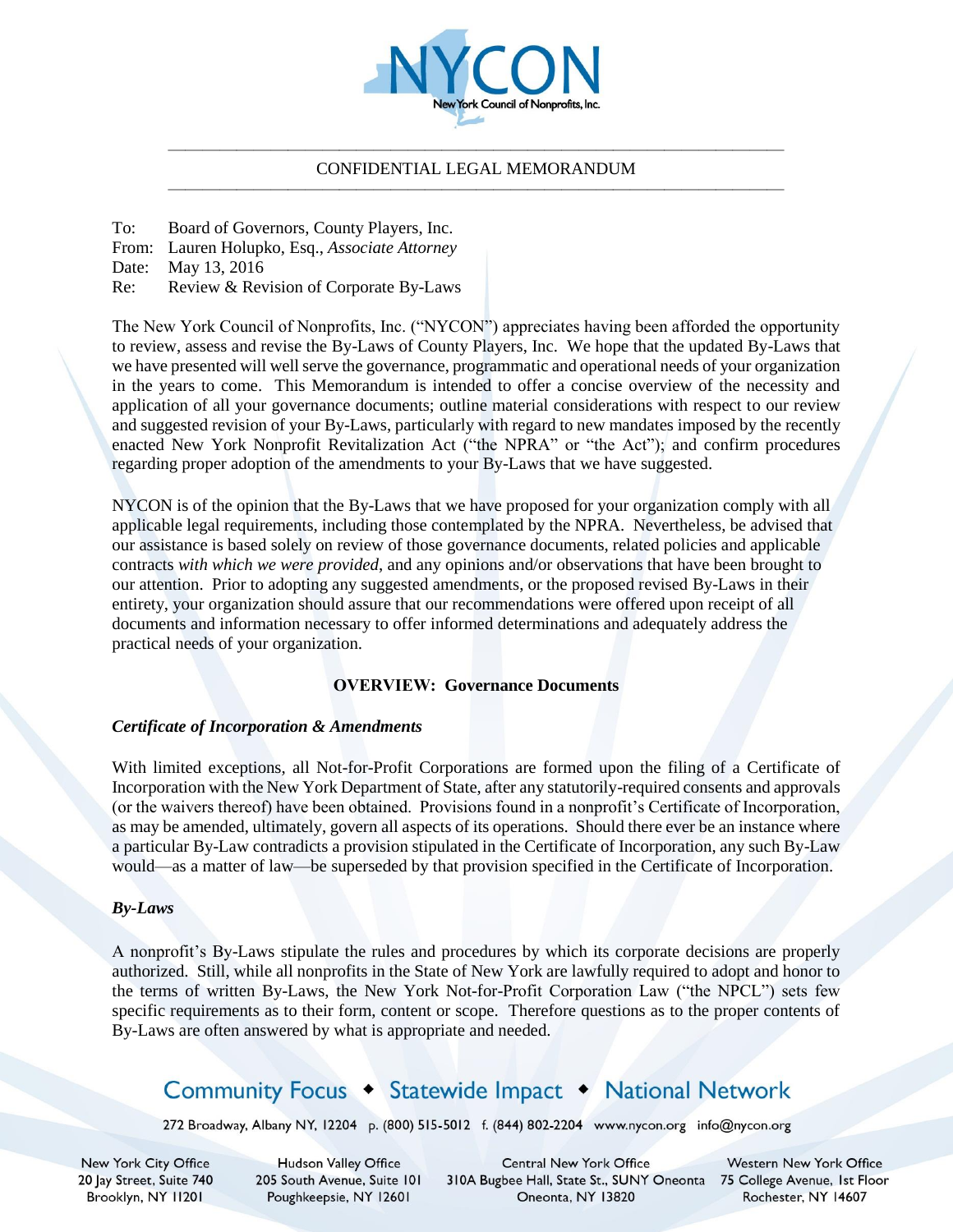

#### ———————————————————————————————————— CONFIDENTIAL LEGAL MEMORANDUM ————————————————————————————————————

To: Board of Governors, County Players, Inc.

From: Lauren Holupko, Esq., *Associate Attorney* 

Date: May 13, 2016

Re: Review & Revision of Corporate By-Laws

The New York Council of Nonprofits, Inc. ("NYCON") appreciates having been afforded the opportunity to review, assess and revise the By-Laws of County Players, Inc. We hope that the updated By-Laws that we have presented will well serve the governance, programmatic and operational needs of your organization in the years to come. This Memorandum is intended to offer a concise overview of the necessity and application of all your governance documents; outline material considerations with respect to our review and suggested revision of your By-Laws, particularly with regard to new mandates imposed by the recently enacted New York Nonprofit Revitalization Act ("the NPRA" or "the Act"); and confirm procedures regarding proper adoption of the amendments to your By-Laws that we have suggested.

NYCON is of the opinion that the By-Laws that we have proposed for your organization comply with all applicable legal requirements, including those contemplated by the NPRA. Nevertheless, be advised that our assistance is based solely on review of those governance documents, related policies and applicable contracts *with which we were provided*, and any opinions and/or observations that have been brought to our attention. Prior to adopting any suggested amendments, or the proposed revised By-Laws in their entirety, your organization should assure that our recommendations were offered upon receipt of all documents and information necessary to offer informed determinations and adequately address the practical needs of your organization.

### **OVERVIEW: Governance Documents**

### *Certificate of Incorporation & Amendments*

With limited exceptions, all Not-for-Profit Corporations are formed upon the filing of a Certificate of Incorporation with the New York Department of State, after any statutorily-required consents and approvals (or the waivers thereof) have been obtained. Provisions found in a nonprofit's Certificate of Incorporation, as may be amended, ultimately, govern all aspects of its operations. Should there ever be an instance where a particular By-Law contradicts a provision stipulated in the Certificate of Incorporation, any such By-Law would—as a matter of law—be superseded by that provision specified in the Certificate of Incorporation.

#### *By-Laws*

A nonprofit's By-Laws stipulate the rules and procedures by which its corporate decisions are properly authorized. Still, while all nonprofits in the State of New York are lawfully required to adopt and honor to the terms of written By-Laws, the New York Not-for-Profit Corporation Law ("the NPCL") sets few specific requirements as to their form, content or scope. Therefore questions as to the proper contents of By-Laws are often answered by what is appropriate and needed.

# Community Focus • Statewide Impact • National Network

272 Broadway, Albany NY, 12204 p. (800) 515-5012 f. (844) 802-2204 www.nycon.org info@nycon.org

New York City Office 20 Jay Street, Suite 740 Brooklyn, NY 11201

**Hudson Valley Office** 205 South Avenue, Suite 101 Poughkeepsie, NY 12601

**Central New York Office** 310A Bugbee Hall, State St., SUNY Oneonta 75 College Avenue, 1st Floor Oneonta, NY 13820

**Western New York Office** Rochester, NY 14607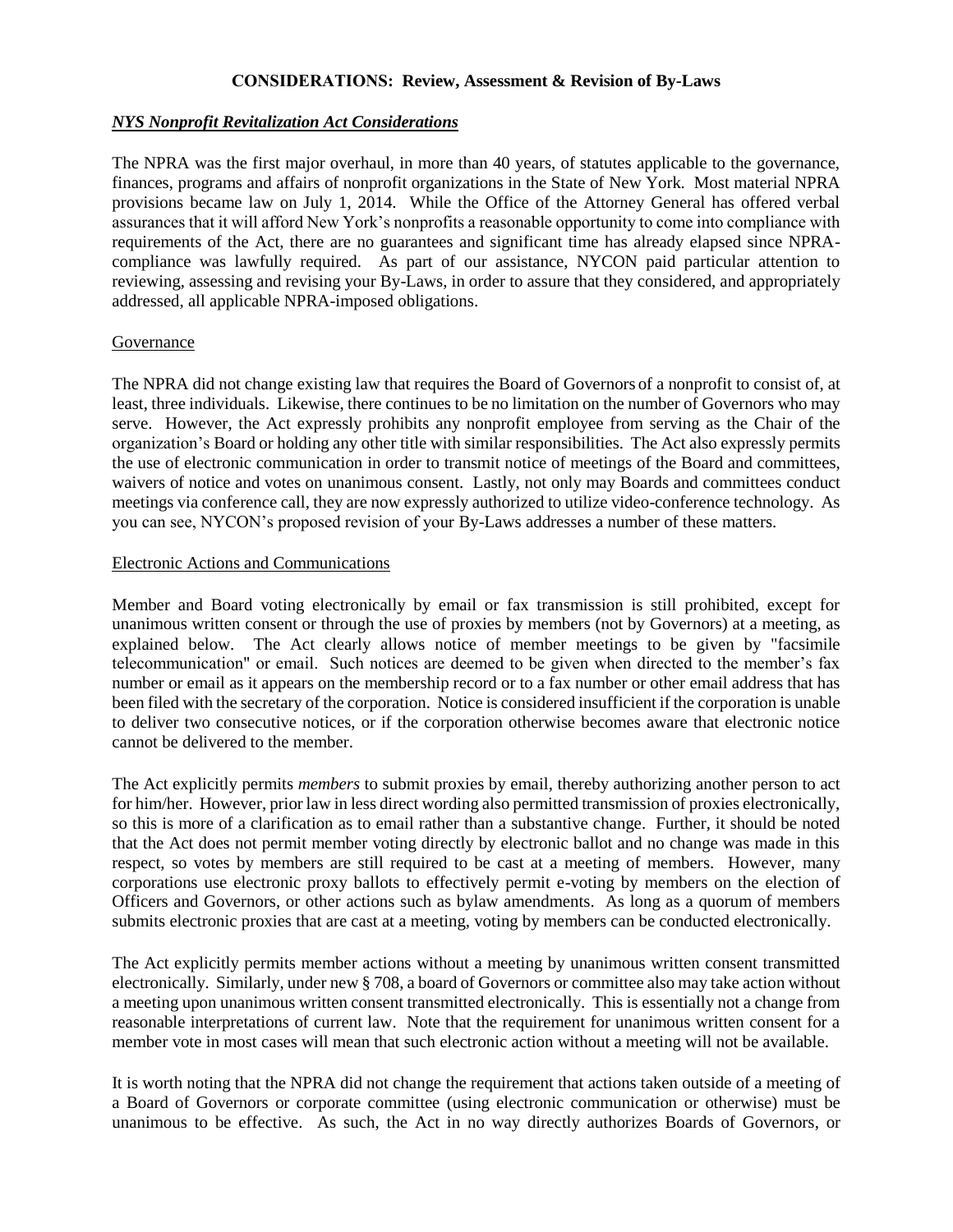#### **CONSIDERATIONS: Review, Assessment & Revision of By-Laws**

#### *NYS Nonprofit Revitalization Act Considerations*

The NPRA was the first major overhaul, in more than 40 years, of statutes applicable to the governance, finances, programs and affairs of nonprofit organizations in the State of New York. Most material NPRA provisions became law on July 1, 2014. While the Office of the Attorney General has offered verbal assurances that it will afford New York's nonprofits a reasonable opportunity to come into compliance with requirements of the Act, there are no guarantees and significant time has already elapsed since NPRAcompliance was lawfully required. As part of our assistance, NYCON paid particular attention to reviewing, assessing and revising your By-Laws, in order to assure that they considered, and appropriately addressed, all applicable NPRA-imposed obligations.

#### Governance

The NPRA did not change existing law that requires the Board of Governors of a nonprofit to consist of, at least, three individuals. Likewise, there continues to be no limitation on the number of Governors who may serve. However, the Act expressly prohibits any nonprofit employee from serving as the Chair of the organization's Board or holding any other title with similar responsibilities. The Act also expressly permits the use of electronic communication in order to transmit notice of meetings of the Board and committees, waivers of notice and votes on unanimous consent. Lastly, not only may Boards and committees conduct meetings via conference call, they are now expressly authorized to utilize video-conference technology. As you can see, NYCON's proposed revision of your By-Laws addresses a number of these matters.

#### Electronic Actions and Communications

Member and Board voting electronically by email or fax transmission is still prohibited, except for unanimous written consent or through the use of proxies by members (not by Governors) at a meeting, as explained below. The Act clearly allows notice of member meetings to be given by "facsimile telecommunication" or email. Such notices are deemed to be given when directed to the member's fax number or email as it appears on the membership record or to a fax number or other email address that has been filed with the secretary of the corporation. Notice is considered insufficient if the corporation is unable to deliver two consecutive notices, or if the corporation otherwise becomes aware that electronic notice cannot be delivered to the member.

The Act explicitly permits *members* to submit proxies by email, thereby authorizing another person to act for him/her. However, prior law in less direct wording also permitted transmission of proxies electronically, so this is more of a clarification as to email rather than a substantive change. Further, it should be noted that the Act does not permit member voting directly by electronic ballot and no change was made in this respect, so votes by members are still required to be cast at a meeting of members. However, many corporations use electronic proxy ballots to effectively permit e-voting by members on the election of Officers and Governors, or other actions such as bylaw amendments. As long as a quorum of members submits electronic proxies that are cast at a meeting, voting by members can be conducted electronically.

The Act explicitly permits member actions without a meeting by unanimous written consent transmitted electronically. Similarly, under new § 708, a board of Governors or committee also may take action without a meeting upon unanimous written consent transmitted electronically. This is essentially not a change from reasonable interpretations of current law. Note that the requirement for unanimous written consent for a member vote in most cases will mean that such electronic action without a meeting will not be available.

It is worth noting that the NPRA did not change the requirement that actions taken outside of a meeting of a Board of Governors or corporate committee (using electronic communication or otherwise) must be unanimous to be effective. As such, the Act in no way directly authorizes Boards of Governors, or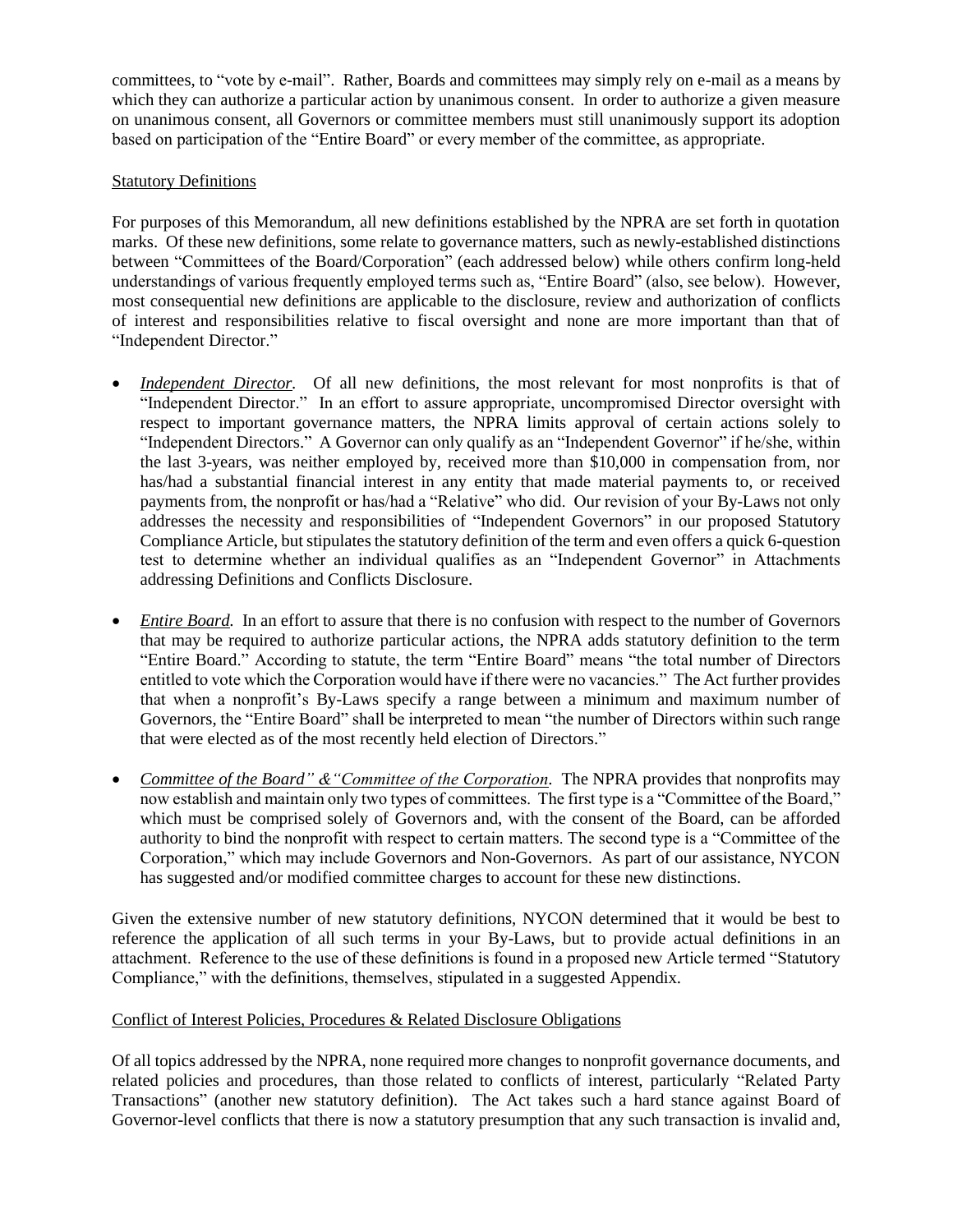committees, to "vote by e-mail". Rather, Boards and committees may simply rely on e-mail as a means by which they can authorize a particular action by unanimous consent. In order to authorize a given measure on unanimous consent, all Governors or committee members must still unanimously support its adoption based on participation of the "Entire Board" or every member of the committee, as appropriate.

## Statutory Definitions

For purposes of this Memorandum, all new definitions established by the NPRA are set forth in quotation marks. Of these new definitions, some relate to governance matters, such as newly-established distinctions between "Committees of the Board/Corporation" (each addressed below) while others confirm long-held understandings of various frequently employed terms such as, "Entire Board" (also, see below). However, most consequential new definitions are applicable to the disclosure, review and authorization of conflicts of interest and responsibilities relative to fiscal oversight and none are more important than that of "Independent Director."

- *Independent Director.* Of all new definitions, the most relevant for most nonprofits is that of "Independent Director." In an effort to assure appropriate, uncompromised Director oversight with respect to important governance matters, the NPRA limits approval of certain actions solely to "Independent Directors." A Governor can only qualify as an "Independent Governor" if he/she, within the last 3-years, was neither employed by, received more than \$10,000 in compensation from, nor has/had a substantial financial interest in any entity that made material payments to, or received payments from, the nonprofit or has/had a "Relative" who did. Our revision of your By-Laws not only addresses the necessity and responsibilities of "Independent Governors" in our proposed Statutory Compliance Article, but stipulates the statutory definition of the term and even offers a quick 6-question test to determine whether an individual qualifies as an "Independent Governor" in Attachments addressing Definitions and Conflicts Disclosure.
- *Entire Board.* In an effort to assure that there is no confusion with respect to the number of Governors that may be required to authorize particular actions, the NPRA adds statutory definition to the term "Entire Board." According to statute, the term "Entire Board" means "the total number of Directors entitled to vote which the Corporation would have if there were no vacancies." The Act further provides that when a nonprofit's By-Laws specify a range between a minimum and maximum number of Governors, the "Entire Board" shall be interpreted to mean "the number of Directors within such range that were elected as of the most recently held election of Directors."
- Committee of the Board" & "Committee of the Corporation. The NPRA provides that nonprofits may now establish and maintain only two types of committees. The first type is a "Committee of the Board," which must be comprised solely of Governors and, with the consent of the Board, can be afforded authority to bind the nonprofit with respect to certain matters. The second type is a "Committee of the Corporation," which may include Governors and Non-Governors. As part of our assistance, NYCON has suggested and/or modified committee charges to account for these new distinctions.

Given the extensive number of new statutory definitions, NYCON determined that it would be best to reference the application of all such terms in your By-Laws, but to provide actual definitions in an attachment. Reference to the use of these definitions is found in a proposed new Article termed "Statutory Compliance," with the definitions, themselves, stipulated in a suggested Appendix.

## Conflict of Interest Policies, Procedures & Related Disclosure Obligations

Of all topics addressed by the NPRA, none required more changes to nonprofit governance documents, and related policies and procedures, than those related to conflicts of interest, particularly "Related Party Transactions" (another new statutory definition). The Act takes such a hard stance against Board of Governor-level conflicts that there is now a statutory presumption that any such transaction is invalid and,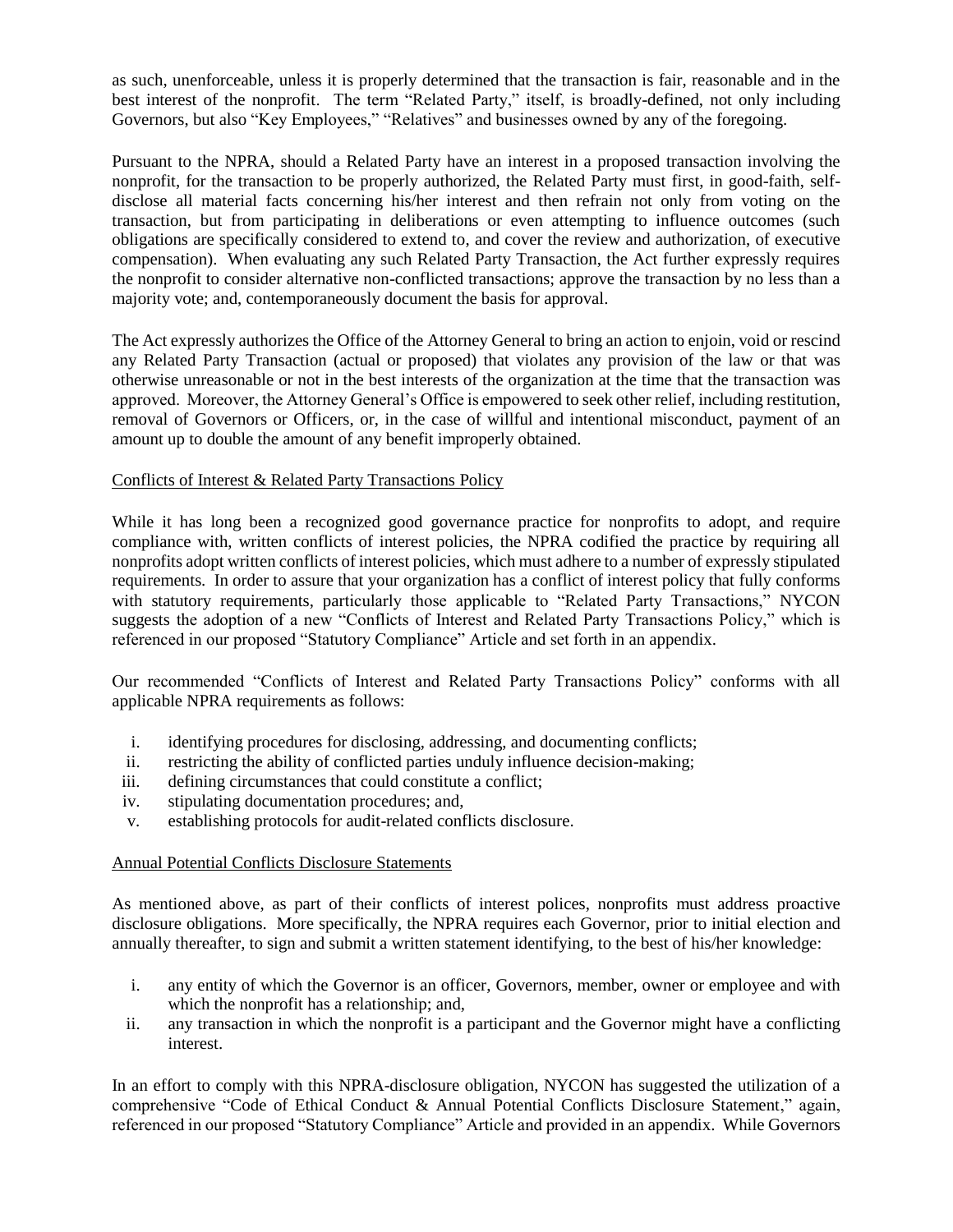as such, unenforceable, unless it is properly determined that the transaction is fair, reasonable and in the best interest of the nonprofit. The term "Related Party," itself, is broadly-defined, not only including Governors, but also "Key Employees," "Relatives" and businesses owned by any of the foregoing.

Pursuant to the NPRA, should a Related Party have an interest in a proposed transaction involving the nonprofit, for the transaction to be properly authorized, the Related Party must first, in good-faith, selfdisclose all material facts concerning his/her interest and then refrain not only from voting on the transaction, but from participating in deliberations or even attempting to influence outcomes (such obligations are specifically considered to extend to, and cover the review and authorization, of executive compensation). When evaluating any such Related Party Transaction, the Act further expressly requires the nonprofit to consider alternative non-conflicted transactions; approve the transaction by no less than a majority vote; and, contemporaneously document the basis for approval.

The Act expressly authorizes the Office of the Attorney General to bring an action to enjoin, void or rescind any Related Party Transaction (actual or proposed) that violates any provision of the law or that was otherwise unreasonable or not in the best interests of the organization at the time that the transaction was approved. Moreover, the Attorney General's Office is empowered to seek other relief, including restitution, removal of Governors or Officers, or, in the case of willful and intentional misconduct, payment of an amount up to double the amount of any benefit improperly obtained.

### Conflicts of Interest & Related Party Transactions Policy

While it has long been a recognized good governance practice for nonprofits to adopt, and require compliance with, written conflicts of interest policies, the NPRA codified the practice by requiring all nonprofits adopt written conflicts of interest policies, which must adhere to a number of expressly stipulated requirements. In order to assure that your organization has a conflict of interest policy that fully conforms with statutory requirements, particularly those applicable to "Related Party Transactions," NYCON suggests the adoption of a new "Conflicts of Interest and Related Party Transactions Policy," which is referenced in our proposed "Statutory Compliance" Article and set forth in an appendix.

Our recommended "Conflicts of Interest and Related Party Transactions Policy" conforms with all applicable NPRA requirements as follows:

- i. identifying procedures for disclosing, addressing, and documenting conflicts;
- ii. restricting the ability of conflicted parties unduly influence decision-making;
- iii. defining circumstances that could constitute a conflict;
- iv. stipulating documentation procedures; and,
- v. establishing protocols for audit-related conflicts disclosure.

### Annual Potential Conflicts Disclosure Statements

As mentioned above, as part of their conflicts of interest polices, nonprofits must address proactive disclosure obligations. More specifically, the NPRA requires each Governor, prior to initial election and annually thereafter, to sign and submit a written statement identifying, to the best of his/her knowledge:

- i. any entity of which the Governor is an officer, Governors, member, owner or employee and with which the nonprofit has a relationship; and,
- ii. any transaction in which the nonprofit is a participant and the Governor might have a conflicting interest.

In an effort to comply with this NPRA-disclosure obligation, NYCON has suggested the utilization of a comprehensive "Code of Ethical Conduct & Annual Potential Conflicts Disclosure Statement," again, referenced in our proposed "Statutory Compliance" Article and provided in an appendix. While Governors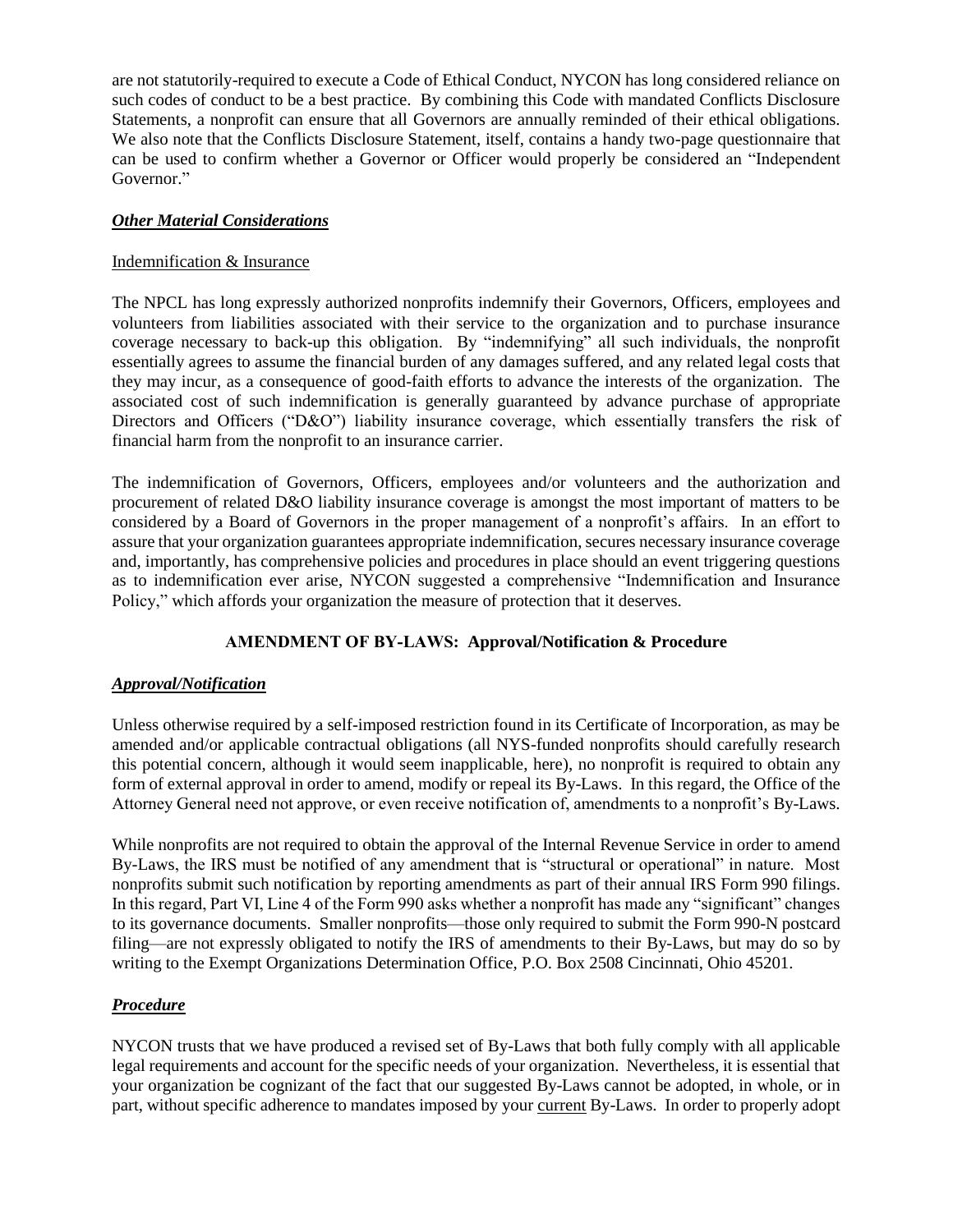are not statutorily-required to execute a Code of Ethical Conduct, NYCON has long considered reliance on such codes of conduct to be a best practice. By combining this Code with mandated Conflicts Disclosure Statements, a nonprofit can ensure that all Governors are annually reminded of their ethical obligations. We also note that the Conflicts Disclosure Statement, itself, contains a handy two-page questionnaire that can be used to confirm whether a Governor or Officer would properly be considered an "Independent Governor."

## *Other Material Considerations*

## Indemnification & Insurance

The NPCL has long expressly authorized nonprofits indemnify their Governors, Officers, employees and volunteers from liabilities associated with their service to the organization and to purchase insurance coverage necessary to back-up this obligation. By "indemnifying" all such individuals, the nonprofit essentially agrees to assume the financial burden of any damages suffered, and any related legal costs that they may incur, as a consequence of good-faith efforts to advance the interests of the organization. The associated cost of such indemnification is generally guaranteed by advance purchase of appropriate Directors and Officers ("D&O") liability insurance coverage, which essentially transfers the risk of financial harm from the nonprofit to an insurance carrier.

The indemnification of Governors, Officers, employees and/or volunteers and the authorization and procurement of related D&O liability insurance coverage is amongst the most important of matters to be considered by a Board of Governors in the proper management of a nonprofit's affairs. In an effort to assure that your organization guarantees appropriate indemnification, secures necessary insurance coverage and, importantly, has comprehensive policies and procedures in place should an event triggering questions as to indemnification ever arise, NYCON suggested a comprehensive "Indemnification and Insurance Policy," which affords your organization the measure of protection that it deserves.

# **AMENDMENT OF BY-LAWS: Approval/Notification & Procedure**

# *Approval/Notification*

Unless otherwise required by a self-imposed restriction found in its Certificate of Incorporation, as may be amended and/or applicable contractual obligations (all NYS-funded nonprofits should carefully research this potential concern, although it would seem inapplicable, here), no nonprofit is required to obtain any form of external approval in order to amend, modify or repeal its By-Laws. In this regard, the Office of the Attorney General need not approve, or even receive notification of, amendments to a nonprofit's By-Laws.

While nonprofits are not required to obtain the approval of the Internal Revenue Service in order to amend By-Laws, the IRS must be notified of any amendment that is "structural or operational" in nature. Most nonprofits submit such notification by reporting amendments as part of their annual IRS Form 990 filings. In this regard, Part VI, Line 4 of the Form 990 asks whether a nonprofit has made any "significant" changes to its governance documents. Smaller nonprofits—those only required to submit the Form 990-N postcard filing—are not expressly obligated to notify the IRS of amendments to their By-Laws, but may do so by writing to the Exempt Organizations Determination Office, P.O. Box 2508 Cincinnati, Ohio 45201.

# *Procedure*

NYCON trusts that we have produced a revised set of By-Laws that both fully comply with all applicable legal requirements and account for the specific needs of your organization. Nevertheless, it is essential that your organization be cognizant of the fact that our suggested By-Laws cannot be adopted, in whole, or in part, without specific adherence to mandates imposed by your current By-Laws. In order to properly adopt